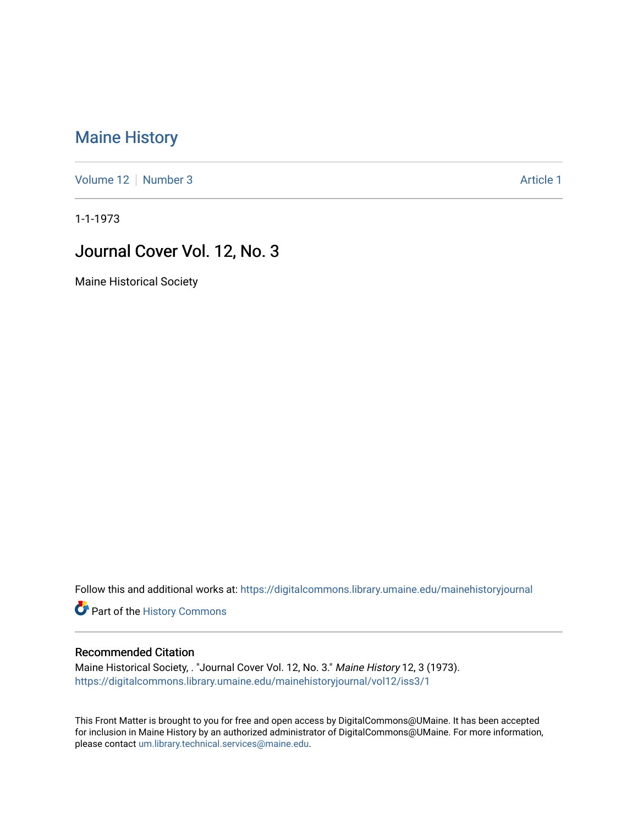## [Maine History](https://digitalcommons.library.umaine.edu/mainehistoryjournal)

[Volume 12](https://digitalcommons.library.umaine.edu/mainehistoryjournal/vol12) [Number 3](https://digitalcommons.library.umaine.edu/mainehistoryjournal/vol12/iss3) [Article 1](https://digitalcommons.library.umaine.edu/mainehistoryjournal/vol12/iss3/1) Number 3 Article 1 Number 3 Article 1 Number 3 Article 1 Number 3 Article 1 Number 3 Article 1 Number 3 Article 1 Number 3 Article 1 Number 3 Article 1 Number 3 Article 1 Number 3 Article 1 Num

1-1-1973

## Journal Cover Vol. 12, No. 3

Maine Historical Society

Follow this and additional works at: [https://digitalcommons.library.umaine.edu/mainehistoryjournal](https://digitalcommons.library.umaine.edu/mainehistoryjournal?utm_source=digitalcommons.library.umaine.edu%2Fmainehistoryjournal%2Fvol12%2Fiss3%2F1&utm_medium=PDF&utm_campaign=PDFCoverPages) 

Part of the [History Commons](http://network.bepress.com/hgg/discipline/489?utm_source=digitalcommons.library.umaine.edu%2Fmainehistoryjournal%2Fvol12%2Fiss3%2F1&utm_medium=PDF&utm_campaign=PDFCoverPages) 

## Recommended Citation

Maine Historical Society, . "Journal Cover Vol. 12, No. 3." Maine History 12, 3 (1973). [https://digitalcommons.library.umaine.edu/mainehistoryjournal/vol12/iss3/1](https://digitalcommons.library.umaine.edu/mainehistoryjournal/vol12/iss3/1?utm_source=digitalcommons.library.umaine.edu%2Fmainehistoryjournal%2Fvol12%2Fiss3%2F1&utm_medium=PDF&utm_campaign=PDFCoverPages)

This Front Matter is brought to you for free and open access by DigitalCommons@UMaine. It has been accepted for inclusion in Maine History by an authorized administrator of DigitalCommons@UMaine. For more information, please contact [um.library.technical.services@maine.edu.](mailto:um.library.technical.services@maine.edu)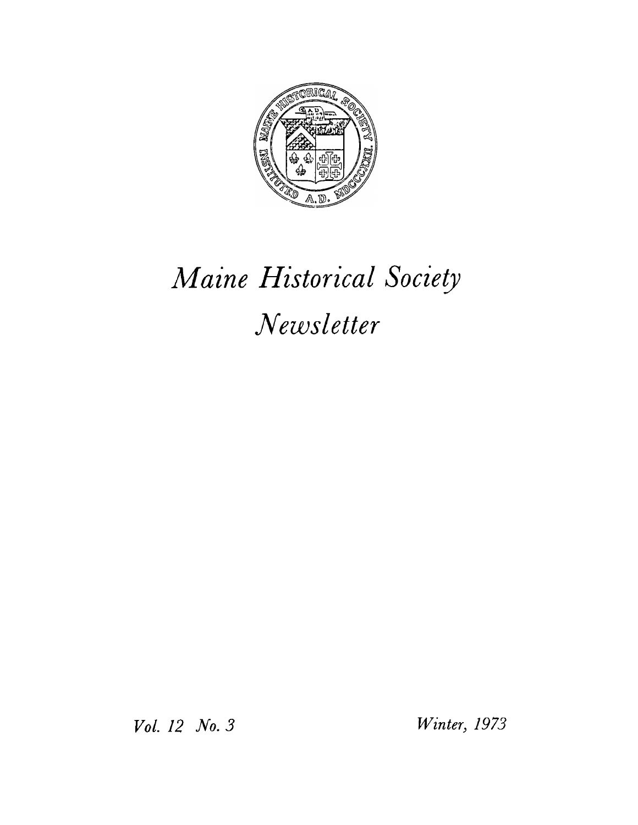

## *Maine Historical Society Newsletter*

*Vol. 12 No. 3 Winter, 1973*